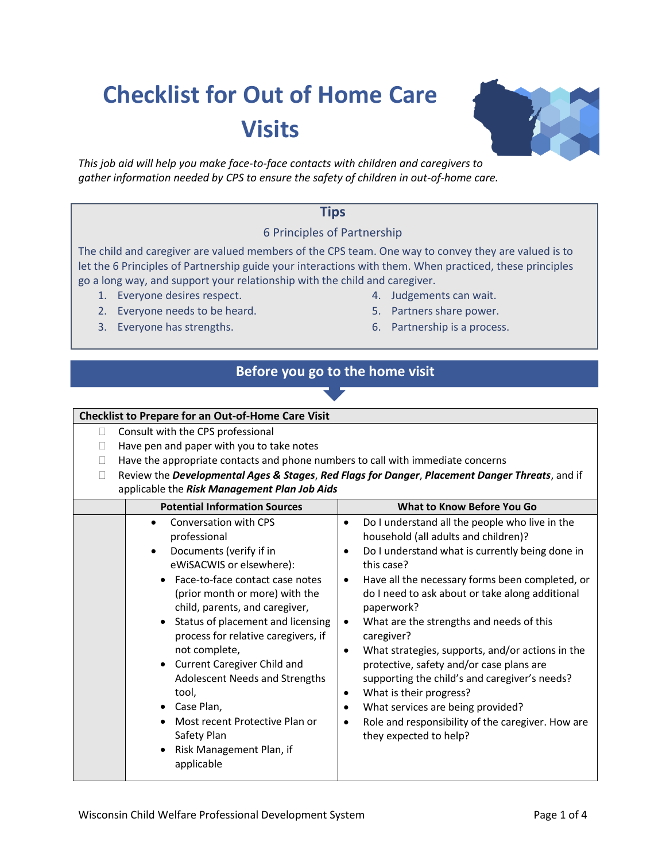# **Checklist for Out of Home Care Visits**

*This job aid will help you make face-to-face contacts with children and caregivers to gather information needed by CPS to ensure the safety of children in out-of-home care.*

### **Tips**

### 6 Principles of Partnership

The child and caregiver are valued members of the CPS team. One way to convey they are valued is to let the 6 Principles of Partnership guide your interactions with them. When practiced, these principles go a long way, and support your relationship with the child and caregiver.

- 1. Everyone desires respect.
- 2. Everyone needs to be heard.
- 3. Everyone has strengths.
- 4. Judgements can wait.
- 5. Partners share power.
- 6. Partnership is a process.

## **Before you go to the home visit**

#### **Checklist to Prepare for an Out-of-Home Care Visit** □ Consult with the CPS professional  $\Box$  Have pen and paper with you to take notes  $\Box$  Have the appropriate contacts and phone numbers to call with immediate concerns Review the *Developmental Ages & Stages*, *Red Flags for Danger*, *Placement Danger Threats*, and if applicable the *Risk Management Plan Job Aids* **Potential Information Sources What to Know Before You Go** • Conversation with CPS professional • Documents (verify if in eWiSACWIS or elsewhere): • Face-to-face contact case notes (prior month or more) with the child, parents, and caregiver, • Status of placement and licensing process for relative caregivers, if not complete, • Current Caregiver Child and Adolescent Needs and Strengths tool, • Case Plan, • Most recent Protective Plan or Safety Plan • Risk Management Plan, if applicable • Do I understand all the people who live in the household (all adults and children)? • Do I understand what is currently being done in this case? • Have all the necessary forms been completed, or do I need to ask about or take along additional paperwork? • What are the strengths and needs of this caregiver? • What strategies, supports, and/or actions in the protective, safety and/or case plans are supporting the child's and caregiver's needs? • What is their progress? • What services are being provided? • Role and responsibility of the caregiver. How are they expected to help?

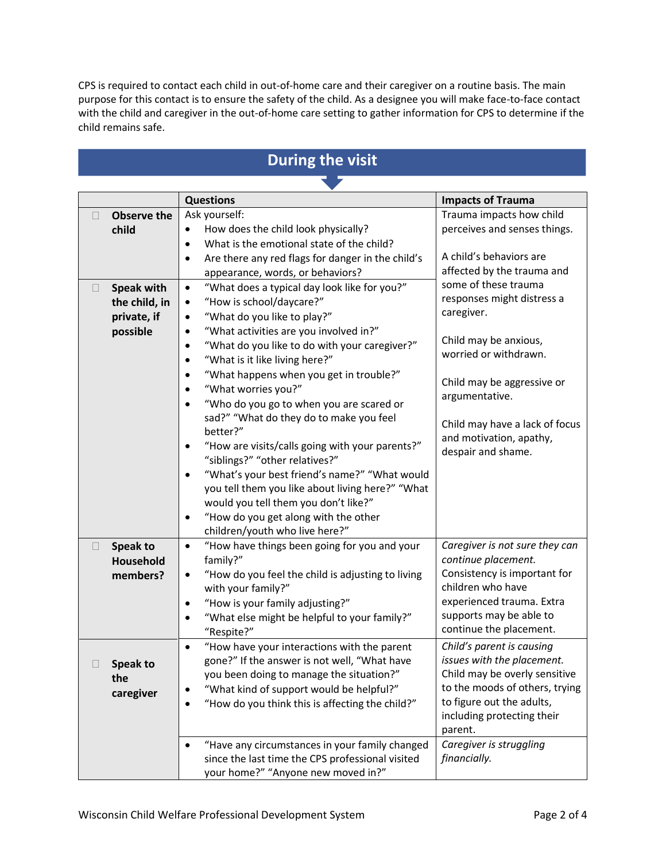CPS is required to contact each child in out-of-home care and their caregiver on a routine basis. The main purpose for this contact is to ensure the safety of the child. As a designee you will make face-to-face contact with the child and caregiver in the out-of-home care setting to gather information for CPS to determine if the child remains safe.

#### **Questions Impacts of Trauma Observe the child** Ask yourself: • How does the child look physically? What is the emotional state of the child? • Are there any red flags for danger in the child's appearance, words, or behaviors? Trauma impacts how child perceives and senses things. A child's behaviors are affected by the trauma and some of these trauma responses might distress a caregiver. Child may be anxious, worried or withdrawn. Child may be aggressive or argumentative. Child may have a lack of focus and motivation, apathy, despair and shame. **Speak with the child, in private, if possible** "What does a typical day look like for you?" • "How is school/daycare?" • "What do you like to play?" • "What activities are you involved in?" • "What do you like to do with your caregiver?" • "What is it like living here?" • "What happens when you get in trouble?" • "What worries you?" • "Who do you go to when you are scared or sad?" "What do they do to make you feel better?" • "How are visits/calls going with your parents?" "siblings?" "other relatives?" • "What's your best friend's name?" "What would you tell them you like about living here?" "What would you tell them you don't like?" • "How do you get along with the other children/youth who live here?" **Speak to Household members? Speak to the caregiver** • "How have things been going for you and your family?" • "How do you feel the child is adjusting to living with your family?" • "How is your family adjusting?" • "What else might be helpful to your family?" "Respite?" *Caregiver is not sure they can continue placement.* Consistency is important for children who have experienced trauma. Extra supports may be able to continue the placement. • "How have your interactions with the parent gone?" If the answer is not well, "What have you been doing to manage the situation?" • "What kind of support would be helpful?" • "How do you think this is affecting the child?" *Child's parent is causing issues with the placement.* Child may be overly sensitive to the moods of others, trying to figure out the adults, including protecting their parent. • "Have any circumstances in your family changed *Caregiver is struggling*

since the last time the CPS professional visited

your home?" "Anyone new moved in?"

# **During the visit**

*financially.*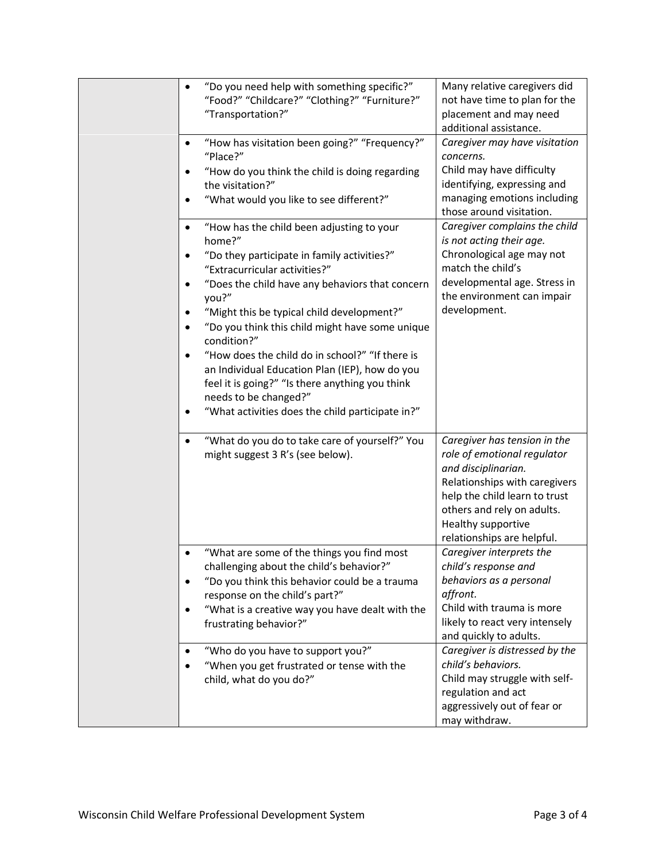| "Do you need help with something specific?"<br>$\bullet$<br>"Food?" "Childcare?" "Clothing?" "Furniture?"<br>"Transportation?"<br>"How has visitation been going?" "Frequency?"<br>"Place?"<br>"How do you think the child is doing regarding<br>the visitation?"<br>"What would you like to see different?"<br>"How has the child been adjusting to your<br>$\bullet$<br>home?"<br>"Do they participate in family activities?"<br>$\bullet$<br>"Extracurricular activities?"<br>"Does the child have any behaviors that concern<br>$\bullet$<br>you?"<br>"Might this be typical child development?"<br>٠<br>"Do you think this child might have some unique<br>$\bullet$<br>condition?"<br>"How does the child do in school?" "If there is<br>$\bullet$<br>an Individual Education Plan (IEP), how do you<br>feel it is going?" "Is there anything you think | Many relative caregivers did<br>not have time to plan for the<br>placement and may need<br>additional assistance.<br>Caregiver may have visitation<br>concerns.<br>Child may have difficulty<br>identifying, expressing and<br>managing emotions including<br>those around visitation.<br>Caregiver complains the child<br>is not acting their age.<br>Chronological age may not<br>match the child's<br>developmental age. Stress in<br>the environment can impair<br>development. |
|---------------------------------------------------------------------------------------------------------------------------------------------------------------------------------------------------------------------------------------------------------------------------------------------------------------------------------------------------------------------------------------------------------------------------------------------------------------------------------------------------------------------------------------------------------------------------------------------------------------------------------------------------------------------------------------------------------------------------------------------------------------------------------------------------------------------------------------------------------------|-------------------------------------------------------------------------------------------------------------------------------------------------------------------------------------------------------------------------------------------------------------------------------------------------------------------------------------------------------------------------------------------------------------------------------------------------------------------------------------|
| needs to be changed?"<br>"What activities does the child participate in?"<br>٠<br>"What do you do to take care of yourself?" You<br>$\bullet$                                                                                                                                                                                                                                                                                                                                                                                                                                                                                                                                                                                                                                                                                                                 | Caregiver has tension in the                                                                                                                                                                                                                                                                                                                                                                                                                                                        |
| might suggest 3 R's (see below).                                                                                                                                                                                                                                                                                                                                                                                                                                                                                                                                                                                                                                                                                                                                                                                                                              | role of emotional regulator<br>and disciplinarian.<br>Relationships with caregivers<br>help the child learn to trust<br>others and rely on adults.<br>Healthy supportive<br>relationships are helpful.                                                                                                                                                                                                                                                                              |
| "What are some of the things you find most<br>challenging about the child's behavior?"<br>"Do you think this behavior could be a trauma<br>response on the child's part?"<br>"What is a creative way you have dealt with the<br>$\bullet$<br>frustrating behavior?"                                                                                                                                                                                                                                                                                                                                                                                                                                                                                                                                                                                           | Caregiver interprets the<br>child's response and<br>behaviors as a personal<br>affront.<br>Child with trauma is more<br>likely to react very intensely<br>and quickly to adults.                                                                                                                                                                                                                                                                                                    |
| "Who do you have to support you?"<br>"When you get frustrated or tense with the<br>child, what do you do?"                                                                                                                                                                                                                                                                                                                                                                                                                                                                                                                                                                                                                                                                                                                                                    | Caregiver is distressed by the<br>child's behaviors.<br>Child may struggle with self-<br>regulation and act<br>aggressively out of fear or<br>may withdraw.                                                                                                                                                                                                                                                                                                                         |